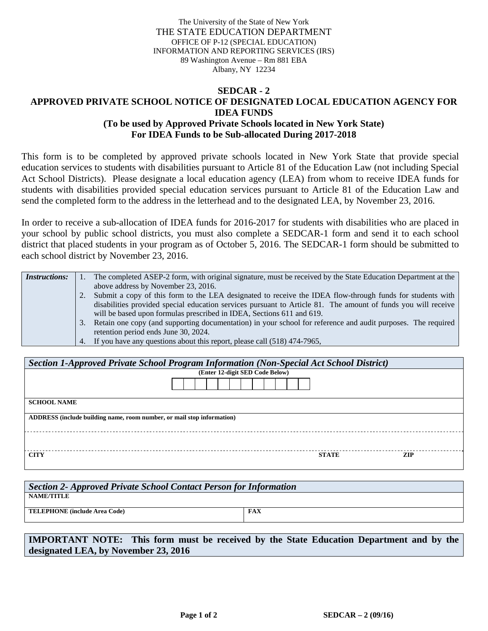The University of the State of New York THE STATE EDUCATION DEPARTMENT OFFICE OF P-12 (SPECIAL EDUCATION) INFORMATION AND REPORTING SERVICES (IRS) 89 Washington Avenue – Rm 881 EBA Albany, NY 12234

## **SEDCAR - 2 APPROVED PRIVATE SCHOOL NOTICE OF DESIGNATED LOCAL EDUCATION AGENCY FOR IDEA FUNDS (To be used by Approved Private Schools located in New York State) For IDEA Funds to be Sub-allocated During 2017-2018**

This form is to be completed by approved private schools located in New York State that provide special education services to students with disabilities pursuant to Article 81 of the Education Law (not including Special Act School Districts). Please designate a local education agency (LEA) from whom to receive IDEA funds for students with disabilities provided special education services pursuant to Article 81 of the Education Law and send the completed form to the address in the letterhead and to the designated LEA, by November 23, 2016.

In order to receive a sub-allocation of IDEA funds for 2016-2017 for students with disabilities who are placed in your school by public school districts, you must also complete a SEDCAR-1 form and send it to each school district that placed students in your program as of October 5, 2016. The SEDCAR-1 form should be submitted to each school district by November 23, 2016.

| <i>Instructions:</i> |    | The completed ASEP-2 form, with original signature, must be received by the State Education Department at the |
|----------------------|----|---------------------------------------------------------------------------------------------------------------|
|                      |    | above address by November 23, 2016.                                                                           |
|                      |    | Submit a copy of this form to the LEA designated to receive the IDEA flow-through funds for students with     |
|                      |    | disabilities provided special education services pursuant to Article 81. The amount of funds you will receive |
|                      |    | will be based upon formulas prescribed in IDEA, Sections 611 and 619.                                         |
|                      | 3. | Retain one copy (and supporting documentation) in your school for reference and audit purposes. The required  |
|                      |    | retention period ends June 30, 2024.                                                                          |
|                      |    | 4. If you have any questions about this report, please call (518) 474-7965,                                   |

| Section 1-Approved Private School Program Information (Non-Special Act School District) |                                 |                     |  |  |  |  |  |
|-----------------------------------------------------------------------------------------|---------------------------------|---------------------|--|--|--|--|--|
|                                                                                         | (Enter 12-digit SED Code Below) |                     |  |  |  |  |  |
|                                                                                         |                                 |                     |  |  |  |  |  |
| <b>SCHOOL NAME</b>                                                                      |                                 |                     |  |  |  |  |  |
| ADDRESS (include building name, room number, or mail stop information)                  |                                 |                     |  |  |  |  |  |
|                                                                                         |                                 |                     |  |  |  |  |  |
| <b>CITY</b>                                                                             |                                 | ZIP<br><b>STATE</b> |  |  |  |  |  |

| <b>Section 2- Approved Private School Contact Person for Information</b> |            |  |  |  |  |
|--------------------------------------------------------------------------|------------|--|--|--|--|
| NAME/TITLE                                                               |            |  |  |  |  |
| <b>TELEPHONE</b> (include Area Code)                                     | <b>FAX</b> |  |  |  |  |
|                                                                          |            |  |  |  |  |

**IMPORTANT NOTE: This form must be received by the State Education Department and by the designated LEA, by November 23, 2016**